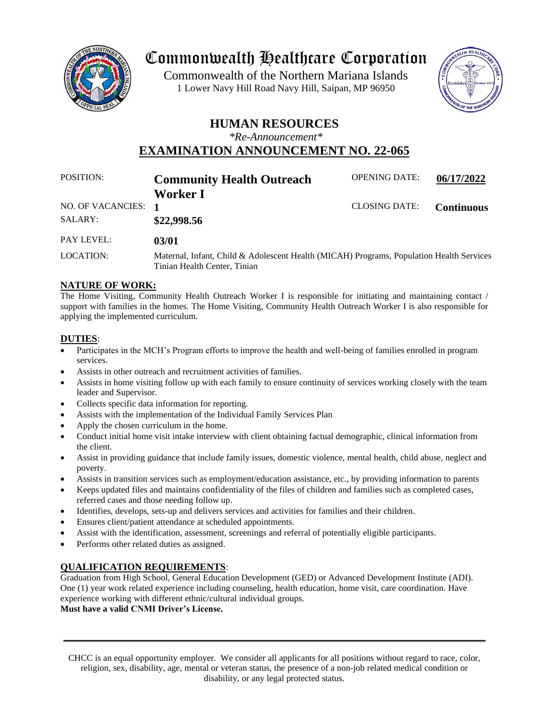

# Commonwealth Healthcare Corporation

 1 Lower Navy Hill Road Navy Hill, Saipan, MP 96950Commonwealth of the Northern Mariana Islands



# **HUMAN RESOURCES**

*\*Re-Announcement\**

**EXAMINATION ANNOUNCEMENT NO. 22-065**

| POSITION:           | <b>Community Health Outreach</b>                                                                                         | <b>OPENING DATE:</b> | 06/17/2022        |
|---------------------|--------------------------------------------------------------------------------------------------------------------------|----------------------|-------------------|
|                     | Worker I                                                                                                                 |                      |                   |
| NO. OF VACANCIES: 1 |                                                                                                                          | <b>CLOSING DATE:</b> | <b>Continuous</b> |
| SALARY:             | \$22,998.56                                                                                                              |                      |                   |
| <b>PAY LEVEL:</b>   | 03/01                                                                                                                    |                      |                   |
| LOCATION:           | Maternal, Infant, Child & Adolescent Health (MICAH) Programs, Population Health Services<br>Tinian Health Center, Tinian |                      |                   |

# **NATURE OF WORK:**

The Home Visiting, Community Health Outreach Worker I is responsible for initiating and maintaining contact / support with families in the homes. The Home Visiting, Community Health Outreach Worker I is also responsible for applying the implemented curriculum.

## **DUTIES**:

- Participates in the MCH's Program efforts to improve the health and well-being of families enrolled in program services.
- Assists in other outreach and recruitment activities of families.
- Assists in home visiting follow up with each family to ensure continuity of services working closely with the team leader and Supervisor.
- Collects specific data information for reporting.
- Assists with the implementation of the Individual Family Services Plan
- Apply the chosen curriculum in the home.
- Conduct initial home visit intake interview with client obtaining factual demographic, clinical information from the client.
- Assist in providing guidance that include family issues, domestic violence, mental health, child abuse, neglect and poverty.
- Assists in transition services such as employment/education assistance, etc., by providing information to parents
- Keeps updated files and maintains confidentiality of the files of children and families such as completed cases, referred cases and those needing follow up.
- Identifies, develops, sets-up and delivers services and activities for families and their children.
- Ensures client/patient attendance at scheduled appointments.
- Assist with the identification, assessment, screenings and referral of potentially eligible participants.
- Performs other related duties as assigned.

#### **QUALIFICATION REQUIREMENTS**:

Graduation from High School, General Education Development (GED) or Advanced Development Institute (ADI). One (1) year work related experience including counseling, health education, home visit, care coordination. Have experience working with different ethnic/cultural individual groups.

**Must have a valid CNMI Driver's License.**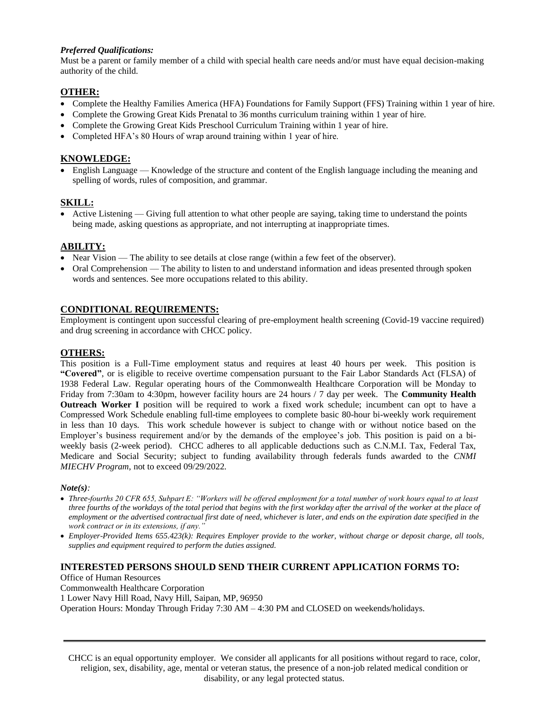#### *Preferred Qualifications:*

Must be a parent or family member of a child with special health care needs and/or must have equal decision-making authority of the child.

#### **OTHER:**

- Complete the Healthy Families America (HFA) Foundations for Family Support (FFS) Training within 1 year of hire.
- Complete the Growing Great Kids Prenatal to 36 months curriculum training within 1 year of hire.
- Complete the Growing Great Kids Preschool Curriculum Training within 1 year of hire.
- Completed HFA's 80 Hours of wrap around training within 1 year of hire.

# **KNOWLEDGE:**

• English Language — Knowledge of the structure and content of the English language including the meaning and spelling of words, rules of composition, and grammar.

## **SKILL:**

• Active Listening — Giving full attention to what other people are saying, taking time to understand the points being made, asking questions as appropriate, and not interrupting at inappropriate times.

## **ABILITY:**

- Near Vision The ability to see details at close range (within a few feet of the observer).
- Oral Comprehension The ability to listen to and understand information and ideas presented through spoken words and sentences. See more occupations related to this ability.

#### **CONDITIONAL REQUIREMENTS:**

Employment is contingent upon successful clearing of pre-employment health screening (Covid-19 vaccine required) and drug screening in accordance with CHCC policy.

#### **OTHERS:**

This position is a Full-Time employment status and requires at least 40 hours per week. This position is **"Covered"**, or is eligible to receive overtime compensation pursuant to the Fair Labor Standards Act (FLSA) of 1938 Federal Law. Regular operating hours of the Commonwealth Healthcare Corporation will be Monday to Friday from 7:30am to 4:30pm, however facility hours are 24 hours / 7 day per week. The **Community Health Outreach Worker I** position will be required to work a fixed work schedule; incumbent can opt to have a Compressed Work Schedule enabling full-time employees to complete basic 80-hour bi-weekly work requirement in less than 10 days. This work schedule however is subject to change with or without notice based on the Employer's business requirement and/or by the demands of the employee's job. This position is paid on a biweekly basis (2-week period). CHCC adheres to all applicable deductions such as C.N.M.I. Tax, Federal Tax, Medicare and Social Security; subject to funding availability through federals funds awarded to the *CNMI MIECHV Program*, not to exceed 09/29/2022.

#### *Note(s):*

- *Three-fourths 20 CFR 655, Subpart E: "Workers will be offered employment for a total number of work hours equal to at least three fourths of the workdays of the total period that begins with the first workday after the arrival of the worker at the place of*  employment or the advertised contractual first date of need, whichever is later, and ends on the expiration date specified in the *work contract or in its extensions, if any."*
- *Employer-Provided Items 655.423(k): Requires Employer provide to the worker, without charge or deposit charge, all tools, supplies and equipment required to perform the duties assigned.*

#### **INTERESTED PERSONS SHOULD SEND THEIR CURRENT APPLICATION FORMS TO:**

Office of Human Resources

Commonwealth Healthcare Corporation

1 Lower Navy Hill Road, Navy Hill, Saipan, MP, 96950

Operation Hours: Monday Through Friday 7:30 AM – 4:30 PM and CLOSED on weekends/holidays.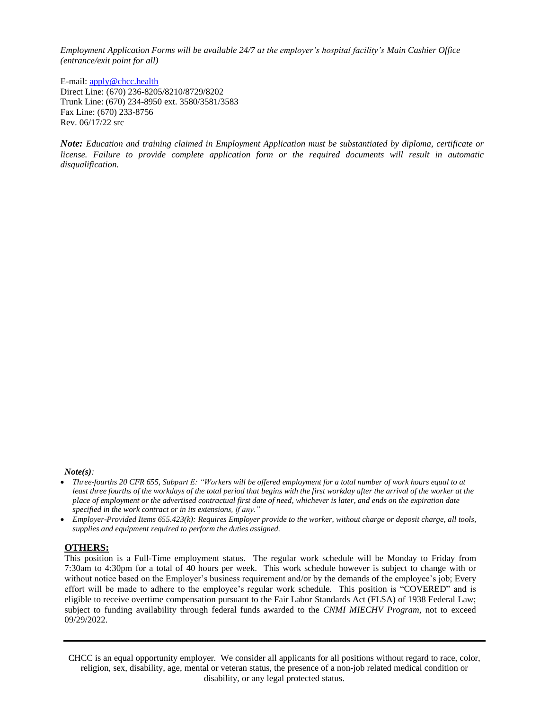*Employment Application Forms will be available 24/7 at the employer's hospital facility's Main Cashier Office (entrance/exit point for all)*

E-mail: [apply@chcc.health](mailto:apply@chcc.health) Direct Line: (670) 236-8205/8210/8729/8202 Trunk Line: (670) 234-8950 ext. 3580/3581/3583 Fax Line: (670) 233-8756 Rev. 06/17/22 src

*Note: Education and training claimed in Employment Application must be substantiated by diploma, certificate or license. Failure to provide complete application form or the required documents will result in automatic disqualification.*

*Note(s):* 

- *Three-fourths 20 CFR 655, Subpart E: "Workers will be offered employment for a total number of work hours equal to at least three fourths of the workdays of the total period that begins with the first workday after the arrival of the worker at the place of employment or the advertised contractual first date of need, whichever is later, and ends on the expiration date specified in the work contract or in its extensions, if any."*
- *Employer-Provided Items 655.423(k): Requires Employer provide to the worker, without charge or deposit charge, all tools, supplies and equipment required to perform the duties assigned.*

#### **OTHERS:**

This position is a Full-Time employment status. The regular work schedule will be Monday to Friday from 7:30am to 4:30pm for a total of 40 hours per week. This work schedule however is subject to change with or without notice based on the Employer's business requirement and/or by the demands of the employee's job; Every effort will be made to adhere to the employee's regular work schedule. This position is "COVERED" and is eligible to receive overtime compensation pursuant to the Fair Labor Standards Act (FLSA) of 1938 Federal Law; subject to funding availability through federal funds awarded to the *CNMI MIECHV Program*, not to exceed 09/29/2022.